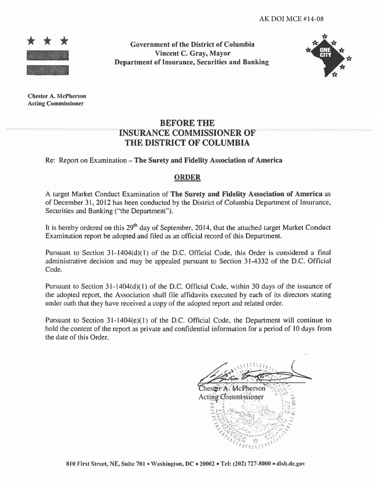

Government of the District of Columhia Vincent C. Gray, Mayor Department of Insurance, Securities and Banking



Chester A. McPherson Acting Commissioner

## BEFORE THE INSURANCE COMMISSIONER OF THE DISTRICT OF COLUMBIA

## Re: Report on Examination - The Surety and Fidelity Association of America

### ORDER

A target Market Conduct Examination of The Surety and Fidelity Association of America as of December 31, 2012 has been conducted by the District of Columbia Department of Insurance, Securities and Banking ("the Department").

It is hereby ordered on this 29<sup>th</sup> day of September, 2014, that the attached target Market Conduct Examination report be adopted and filed as an official record of this Department.

Pursuant to Section 31-1404(d)(l) of the D.C. Official Code, this Order is considered a final administrative decision and may be appealed pursuant to Section 31-4332 of the D.C. Official Code.

Pursuant to Section 31-1404(d)(1) of the D.C. Official Code, within 30 days of the issuance of the adopted report, the Association shall file affidavits executed by each of its directors stating under oath that they have received a copy of the adopted report and related order.

Pursuant to Section 31-1404(e)(1) of the D.C. Official Code, the Department will continue to hold the content of the report as private and confidential information for a period of 10 days from the date of this Order.

Chester A. McPherson Acting Commissioner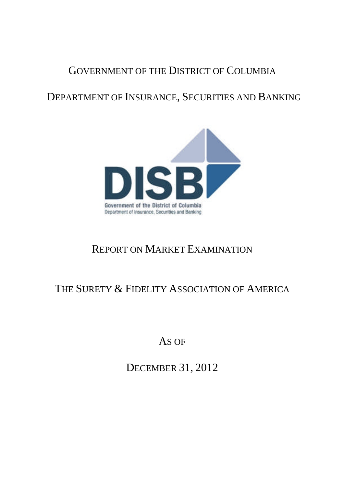# GOVERNMENT OF THE DISTRICT OF COLUMBIA

DEPARTMENT OF INSURANCE, SECURITIES AND BANKING



# REPORT ON MARKET EXAMINATION

# THE SURETY & FIDELITY ASSOCIATION OF AMERICA

AS OF

DECEMBER 31, 2012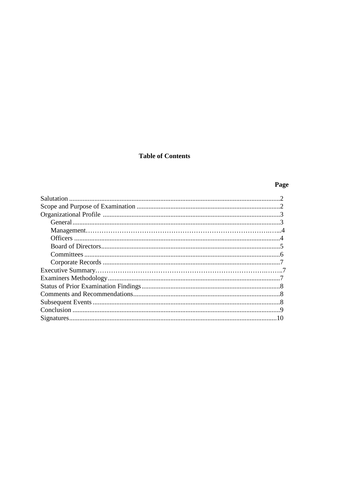## **Table of Contents**

# Page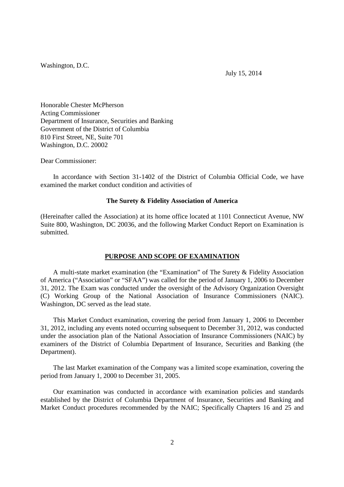Washington, D.C.

July 15, 2014

Honorable Chester McPherson Acting Commissioner Department of Insurance, Securities and Banking Government of the District of Columbia 810 First Street, NE, Suite 701 Washington, D.C. 20002

Dear Commissioner:

In accordance with Section 31-1402 of the District of Columbia Official Code, we have examined the market conduct condition and activities of

### **The Surety & Fidelity Association of America**

(Hereinafter called the Association) at its home office located at 1101 Connecticut Avenue, NW Suite 800, Washington, DC 20036, and the following Market Conduct Report on Examination is submitted.

### **PURPOSE AND SCOPE OF EXAMINATION**

A multi-state market examination (the "Examination" of The Surety & Fidelity Association of America ("Association" or "SFAA") was called for the period of January 1, 2006 to December 31, 2012. The Exam was conducted under the oversight of the Advisory Organization Oversight (C) Working Group of the National Association of Insurance Commissioners (NAIC). Washington, DC served as the lead state.

This Market Conduct examination, covering the period from January 1, 2006 to December 31, 2012, including any events noted occurring subsequent to December 31, 2012, was conducted under the association plan of the National Association of Insurance Commissioners (NAIC) by examiners of the District of Columbia Department of Insurance, Securities and Banking (the Department).

The last Market examination of the Company was a limited scope examination, covering the period from January 1, 2000 to December 31, 2005.

Our examination was conducted in accordance with examination policies and standards established by the District of Columbia Department of Insurance, Securities and Banking and Market Conduct procedures recommended by the NAIC; Specifically Chapters 16 and 25 and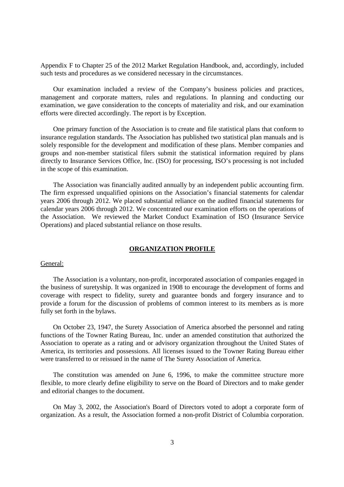Appendix F to Chapter 25 of the 2012 Market Regulation Handbook, and, accordingly, included such tests and procedures as we considered necessary in the circumstances.

Our examination included a review of the Company's business policies and practices, management and corporate matters, rules and regulations. In planning and conducting our examination, we gave consideration to the concepts of materiality and risk, and our examination efforts were directed accordingly. The report is by Exception.

One primary function of the Association is to create and file statistical plans that conform to insurance regulation standards. The Association has published two statistical plan manuals and is solely responsible for the development and modification of these plans. Member companies and groups and non-member statistical filers submit the statistical information required by plans directly to Insurance Services Office, Inc. (ISO) for processing, ISO's processing is not included in the scope of this examination.

The Association was financially audited annually by an independent public accounting firm. The firm expressed unqualified opinions on the Association's financial statements for calendar years 2006 through 2012. We placed substantial reliance on the audited financial statements for calendar years 2006 through 2012. We concentrated our examination efforts on the operations of the Association. We reviewed the Market Conduct Examination of ISO (Insurance Service Operations) and placed substantial reliance on those results.

### **ORGANIZATION PROFILE**

### General:

The Association is a voluntary, non-profit, incorporated association of companies engaged in the business of suretyship. It was organized in 1908 to encourage the development of forms and coverage with respect to fidelity, surety and guarantee bonds and forgery insurance and to provide a forum for the discussion of problems of common interest to its members as is more fully set forth in the bylaws.

On October 23, 1947, the Surety Association of America absorbed the personnel and rating functions of the Towner Rating Bureau, Inc. under an amended constitution that authorized the Association to operate as a rating and or advisory organization throughout the United States of America, its territories and possessions. All licenses issued to the Towner Rating Bureau either were transferred to or reissued in the name of The Surety Association of America.

The constitution was amended on June 6, 1996, to make the committee structure more flexible, to more clearly define eligibility to serve on the Board of Directors and to make gender and editorial changes to the document.

On May 3, 2002, the Association's Board of Directors voted to adopt a corporate form of organization. As a result, the Association formed a non-profit District of Columbia corporation.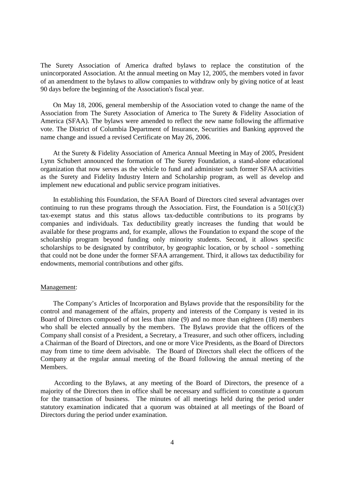The Surety Association of America drafted bylaws to replace the constitution of the unincorporated Association. At the annual meeting on May 12, 2005, the members voted in favor of an amendment to the bylaws to allow companies to withdraw only by giving notice of at least 90 days before the beginning of the Association's fiscal year.

On May 18, 2006, general membership of the Association voted to change the name of the Association from The Surety Association of America to The Surety & Fidelity Association of America (SFAA). The bylaws were amended to reflect the new name following the affirmative vote. The District of Columbia Department of Insurance, Securities and Banking approved the name change and issued a revised Certificate on May 26, 2006.

At the Surety & Fidelity Association of America Annual Meeting in May of 2005, President Lynn Schubert announced the formation of The Surety Foundation, a stand-alone educational organization that now serves as the vehicle to fund and administer such former SFAA activities as the Surety and Fidelity Industry Intern and Scholarship program, as well as develop and implement new educational and public service program initiatives.

In establishing this Foundation, the SFAA Board of Directors cited several advantages over continuing to run these programs through the Association. First, the Foundation is a  $501(c)(3)$ tax-exempt status and this status allows tax-deductible contributions to its programs by companies and individuals. Tax deductibility greatly increases the funding that would be available for these programs and, for example, allows the Foundation to expand the scope of the scholarship program beyond funding only minority students. Second, it allows specific scholarships to be designated by contributor, by geographic location, or by school - something that could not be done under the former SFAA arrangement. Third, it allows tax deductibility for endowments, memorial contributions and other gifts.

### Management:

The Company's Articles of Incorporation and Bylaws provide that the responsibility for the control and management of the affairs, property and interests of the Company is vested in its Board of Directors composed of not less than nine (9) and no more than eighteen (18) members who shall be elected annually by the members. The Bylaws provide that the officers of the Company shall consist of a President, a Secretary, a Treasurer, and such other officers, including a Chairman of the Board of Directors, and one or more Vice Presidents, as the Board of Directors may from time to time deem advisable. The Board of Directors shall elect the officers of the Company at the regular annual meeting of the Board following the annual meeting of the Members.

According to the Bylaws, at any meeting of the Board of Directors, the presence of a majority of the Directors then in office shall be necessary and sufficient to constitute a quorum for the transaction of business. The minutes of all meetings held during the period under statutory examination indicated that a quorum was obtained at all meetings of the Board of Directors during the period under examination.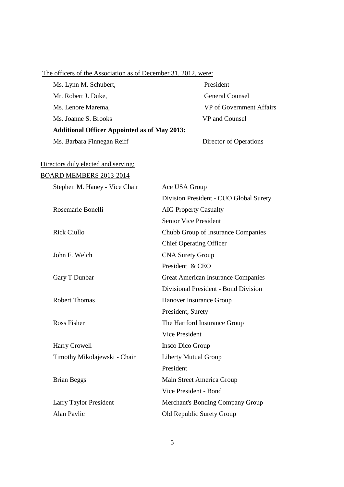| The officers of the Association as of December 31, 2012, were: |                                           |
|----------------------------------------------------------------|-------------------------------------------|
| Ms. Lynn M. Schubert,                                          | President                                 |
| Mr. Robert J. Duke,                                            | <b>General Counsel</b>                    |
| Ms. Lenore Marema,                                             | VP of Government Affairs                  |
| Ms. Joanne S. Brooks                                           | VP and Counsel                            |
| <b>Additional Officer Appointed as of May 2013:</b>            |                                           |
| Ms. Barbara Finnegan Reiff                                     | Director of Operations                    |
| Directors duly elected and serving:                            |                                           |
| BOARD MEMBERS 2013-2014                                        |                                           |
| Stephen M. Haney - Vice Chair                                  | Ace USA Group                             |
|                                                                | Division President - CUO Global Surety    |
| Rosemarie Bonelli                                              | <b>AIG Property Casualty</b>              |
|                                                                | <b>Senior Vice President</b>              |
| <b>Rick Ciullo</b>                                             | Chubb Group of Insurance Companies        |
|                                                                | <b>Chief Operating Officer</b>            |
| John F. Welch                                                  | <b>CNA Surety Group</b>                   |
|                                                                | President & CEO                           |
| Gary T Dunbar                                                  | <b>Great American Insurance Companies</b> |
|                                                                | Divisional President - Bond Division      |
| <b>Robert Thomas</b>                                           | Hanover Insurance Group                   |
|                                                                | President, Surety                         |
| <b>Ross Fisher</b>                                             | The Hartford Insurance Group              |
|                                                                | <b>Vice President</b>                     |
| Harry Crowell                                                  | Insco Dico Group                          |

Timothy Mikolajewski - Chair Liberty Mutual Group

Brian Beggs Main Street America Group

Alan Pavlic Old Republic Surety Group

Larry Taylor President Merchant's Bonding Company Group

5

President

Vice President - Bond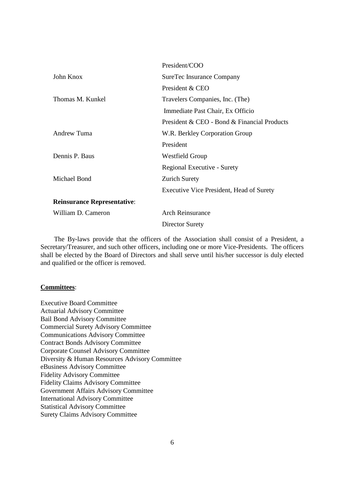|                                    | President/COO                                   |
|------------------------------------|-------------------------------------------------|
| John Knox                          | SureTec Insurance Company                       |
|                                    | President & CEO                                 |
| Thomas M. Kunkel                   | Travelers Companies, Inc. (The)                 |
|                                    | Immediate Past Chair, Ex Officio                |
|                                    | President & CEO - Bond & Financial Products     |
| Andrew Tuma                        | W.R. Berkley Corporation Group                  |
|                                    | President                                       |
| Dennis P. Baus                     | Westfield Group                                 |
|                                    | Regional Executive - Surety                     |
| Michael Bond                       | <b>Zurich Surety</b>                            |
|                                    | <b>Executive Vice President, Head of Surety</b> |
| <b>Reinsurance Representative:</b> |                                                 |
| William D. Cameron                 | <b>Arch Reinsurance</b>                         |
|                                    | <b>Director Surety</b>                          |

The By-laws provide that the officers of the Association shall consist of a President, a Secretary/Treasurer, and such other officers, including one or more Vice-Presidents. The officers shall be elected by the Board of Directors and shall serve until his/her successor is duly elected and qualified or the officer is removed.

### **Committees**:

Executive Board Committee Actuarial Advisory Committee Bail Bond Advisory Committee Commercial Surety Advisory Committee Communications Advisory Committee Contract Bonds Advisory Committee Corporate Counsel Advisory Committee Diversity & Human Resources Advisory Committee eBusiness Advisory Committee Fidelity Advisory Committee Fidelity Claims Advisory Committee Government Affairs Advisory Committee International Advisory Committee Statistical Advisory Committee Surety Claims Advisory Committee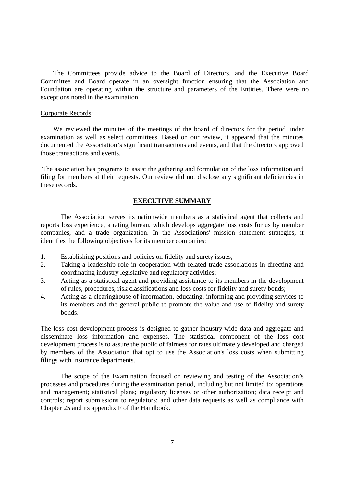The Committees provide advice to the Board of Directors, and the Executive Board Committee and Board operate in an oversight function ensuring that the Association and Foundation are operating within the structure and parameters of the Entities. There were no exceptions noted in the examination.

### Corporate Records:

We reviewed the minutes of the meetings of the board of directors for the period under examination as well as select committees. Based on our review, it appeared that the minutes documented the Association's significant transactions and events, and that the directors approved those transactions and events.

The association has programs to assist the gathering and formulation of the loss information and filing for members at their requests. Our review did not disclose any significant deficiencies in these records.

### **EXECUTIVE SUMMARY**

The Association serves its nationwide members as a statistical agent that collects and reports loss experience, a rating bureau, which develops aggregate loss costs for us by member companies, and a trade organization. In the Associations' mission statement strategies, it identifies the following objectives for its member companies:

- 1. Establishing positions and policies on fidelity and surety issues;
- 2. Taking a leadership role in cooperation with related trade associations in directing and coordinating industry legislative and regulatory activities;
- 3. Acting as a statistical agent and providing assistance to its members in the development of rules, procedures, risk classifications and loss costs for fidelity and surety bonds;
- 4. Acting as a clearinghouse of information, educating, informing and providing services to its members and the general public to promote the value and use of fidelity and surety bonds.

The loss cost development process is designed to gather industry-wide data and aggregate and disseminate loss information and expenses. The statistical component of the loss cost development process is to assure the public of fairness for rates ultimately developed and charged by members of the Association that opt to use the Association's loss costs when submitting filings with insurance departments.

The scope of the Examination focused on reviewing and testing of the Association's processes and procedures during the examination period, including but not limited to: operations and management; statistical plans; regulatory licenses or other authorization; data receipt and controls; report submissions to regulators; and other data requests as well as compliance with Chapter 25 and its appendix F of the Handbook.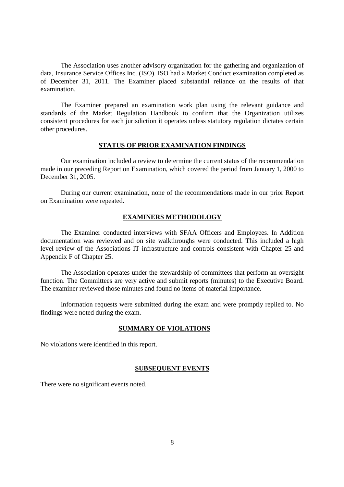The Association uses another advisory organization for the gathering and organization of data, Insurance Service Offices Inc. (ISO). ISO had a Market Conduct examination completed as of December 31, 2011. The Examiner placed substantial reliance on the results of that examination.

The Examiner prepared an examination work plan using the relevant guidance and standards of the Market Regulation Handbook to confirm that the Organization utilizes consistent procedures for each jurisdiction it operates unless statutory regulation dictates certain other procedures.

### **STATUS OF PRIOR EXAMINATION FINDINGS**

Our examination included a review to determine the current status of the recommendation made in our preceding Report on Examination, which covered the period from January 1, 2000 to December 31, 2005.

During our current examination, none of the recommendations made in our prior Report on Examination were repeated.

### **EXAMINERS METHODOLOGY**

The Examiner conducted interviews with SFAA Officers and Employees. In Addition documentation was reviewed and on site walkthroughs were conducted. This included a high level review of the Associations IT infrastructure and controls consistent with Chapter 25 and Appendix F of Chapter 25.

The Association operates under the stewardship of committees that perform an oversight function. The Committees are very active and submit reports (minutes) to the Executive Board. The examiner reviewed those minutes and found no items of material importance.

Information requests were submitted during the exam and were promptly replied to. No findings were noted during the exam.

### **SUMMARY OF VIOLATIONS**

No violations were identified in this report.

### **SUBSEQUENT EVENTS**

There were no significant events noted.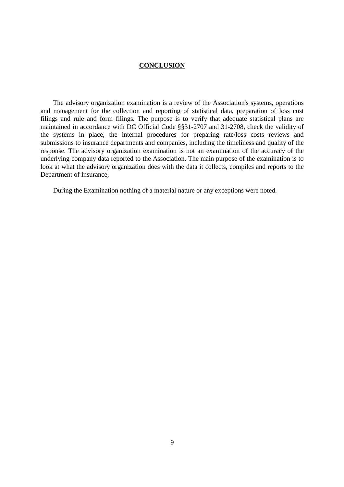### **CONCLUSION**

The advisory organization examination is a review of the Association's systems, operations and management for the collection and reporting of statistical data, preparation of loss cost filings and rule and form filings. The purpose is to verify that adequate statistical plans are maintained in accordance with DC Official Code §§31-2707 and 31-2708, check the validity of the systems in place, the internal procedures for preparing rate/loss costs reviews and submissions to insurance departments and companies, including the timeliness and quality of the response. The advisory organization examination is not an examination of the accuracy of the underlying company data reported to the Association. The main purpose of the examination is to look at what the advisory organization does with the data it collects, compiles and reports to the Department of Insurance,

During the Examination nothing of a material nature or any exceptions were noted.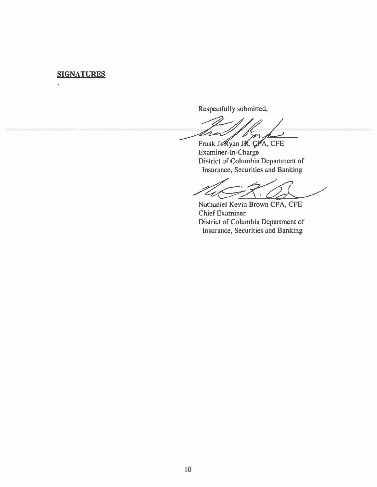### SIGNATURES

Respectfully submitted,

 $20$ 

yan JK. GAA, CFE Examiner-In-Charge District of Columbia Department of Insurance, Securities and Banking

 $\mathbf{V}$ 

Nathaniel Kevin Brown CPA, CFE Chief Examiner District of Columbia Department of Insurance, Securities and Banking